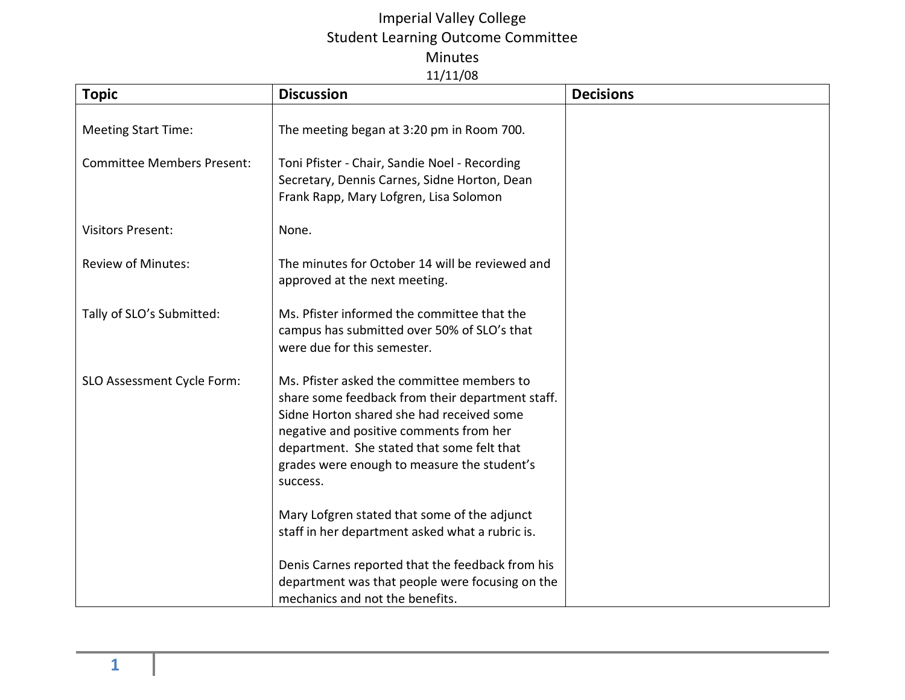## Imperial Valley College Student Learning Outcome Committee Minutes 11/11/08

| <b>Topic</b>                      | <b>Discussion</b>                                                                                                                                                                                                                                                                               | <b>Decisions</b> |
|-----------------------------------|-------------------------------------------------------------------------------------------------------------------------------------------------------------------------------------------------------------------------------------------------------------------------------------------------|------------------|
| <b>Meeting Start Time:</b>        | The meeting began at 3:20 pm in Room 700.                                                                                                                                                                                                                                                       |                  |
| <b>Committee Members Present:</b> | Toni Pfister - Chair, Sandie Noel - Recording<br>Secretary, Dennis Carnes, Sidne Horton, Dean<br>Frank Rapp, Mary Lofgren, Lisa Solomon                                                                                                                                                         |                  |
| <b>Visitors Present:</b>          | None.                                                                                                                                                                                                                                                                                           |                  |
| <b>Review of Minutes:</b>         | The minutes for October 14 will be reviewed and<br>approved at the next meeting.                                                                                                                                                                                                                |                  |
| Tally of SLO's Submitted:         | Ms. Pfister informed the committee that the<br>campus has submitted over 50% of SLO's that<br>were due for this semester.                                                                                                                                                                       |                  |
| SLO Assessment Cycle Form:        | Ms. Pfister asked the committee members to<br>share some feedback from their department staff.<br>Sidne Horton shared she had received some<br>negative and positive comments from her<br>department. She stated that some felt that<br>grades were enough to measure the student's<br>success. |                  |
|                                   | Mary Lofgren stated that some of the adjunct<br>staff in her department asked what a rubric is.                                                                                                                                                                                                 |                  |
|                                   | Denis Carnes reported that the feedback from his<br>department was that people were focusing on the<br>mechanics and not the benefits.                                                                                                                                                          |                  |